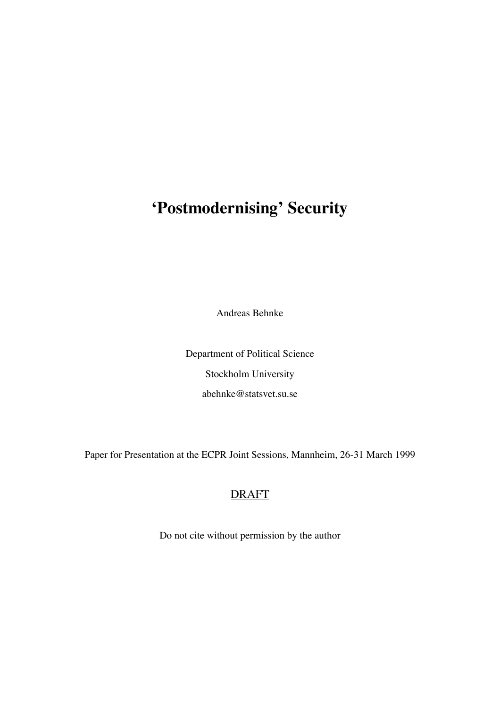# **'Postmodernising' Security**

Andreas Behnke

Department of Political Science Stockholm University abehnke@statsvet.su.se

Paper for Presentation at the ECPR Joint Sessions, Mannheim, 26-31 March 1999

## DRAFT

Do not cite without permission by the author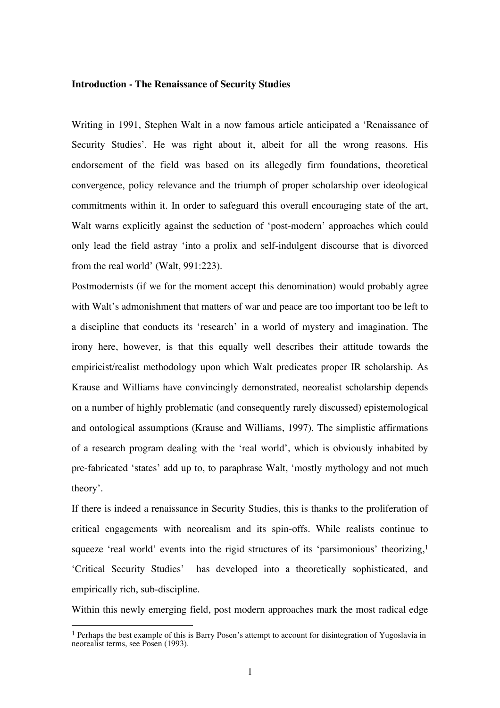#### **Introduction - The Renaissance of Security Studies**

Writing in 1991, Stephen Walt in a now famous article anticipated a 'Renaissance of Security Studies'. He was right about it, albeit for all the wrong reasons. His endorsement of the field was based on its allegedly firm foundations, theoretical convergence, policy relevance and the triumph of proper scholarship over ideological commitments within it. In order to safeguard this overall encouraging state of the art, Walt warns explicitly against the seduction of 'post-modern' approaches which could only lead the field astray 'into a prolix and self-indulgent discourse that is divorced from the real world' (Walt, 991:223).

Postmodernists (if we for the moment accept this denomination) would probably agree with Walt's admonishment that matters of war and peace are too important too be left to a discipline that conducts its 'research' in a world of mystery and imagination. The irony here, however, is that this equally well describes their attitude towards the empiricist/realist methodology upon which Walt predicates proper IR scholarship. As Krause and Williams have convincingly demonstrated, neorealist scholarship depends on a number of highly problematic (and consequently rarely discussed) epistemological and ontological assumptions (Krause and Williams, 1997). The simplistic affirmations of a research program dealing with the 'real world', which is obviously inhabited by pre-fabricated 'states' add up to, to paraphrase Walt, 'mostly mythology and not much theory'.

If there is indeed a renaissance in Security Studies, this is thanks to the proliferation of critical engagements with neorealism and its spin-offs. While realists continue to squeeze 'real world' events into the rigid structures of its 'parsimonious' theorizing,<sup>1</sup> 'Critical Security Studies' has developed into a theoretically sophisticated, and empirically rich, sub-discipline.

Within this newly emerging field, post modern approaches mark the most radical edge

<sup>&</sup>lt;sup>1</sup> Perhaps the best example of this is Barry Posen's attempt to account for disintegration of Yugoslavia in neorealist terms, see Posen (1993).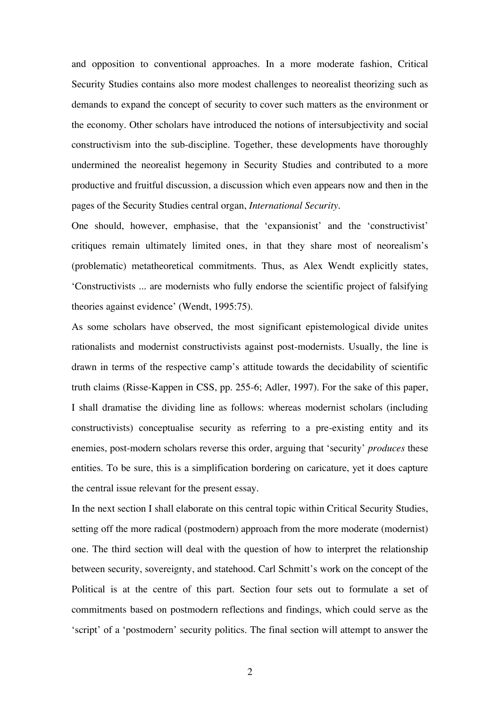and opposition to conventional approaches. In a more moderate fashion, Critical Security Studies contains also more modest challenges to neorealist theorizing such as demands to expand the concept of security to cover such matters as the environment or the economy. Other scholars have introduced the notions of intersubjectivity and social constructivism into the sub-discipline. Together, these developments have thoroughly undermined the neorealist hegemony in Security Studies and contributed to a more productive and fruitful discussion, a discussion which even appears now and then in the pages of the Security Studies central organ, *International Security*.

One should, however, emphasise, that the 'expansionist' and the 'constructivist' critiques remain ultimately limited ones, in that they share most of neorealism's (problematic) metatheoretical commitments. Thus, as Alex Wendt explicitly states, 'Constructivists ... are modernists who fully endorse the scientific project of falsifying theories against evidence' (Wendt, 1995:75).

As some scholars have observed, the most significant epistemological divide unites rationalists and modernist constructivists against post-modernists. Usually, the line is drawn in terms of the respective camp's attitude towards the decidability of scientific truth claims (Risse-Kappen in CSS, pp. 255-6; Adler, 1997). For the sake of this paper, I shall dramatise the dividing line as follows: whereas modernist scholars (including constructivists) conceptualise security as referring to a pre-existing entity and its enemies, post-modern scholars reverse this order, arguing that 'security' *produces* these entities. To be sure, this is a simplification bordering on caricature, yet it does capture the central issue relevant for the present essay.

In the next section I shall elaborate on this central topic within Critical Security Studies, setting off the more radical (postmodern) approach from the more moderate (modernist) one. The third section will deal with the question of how to interpret the relationship between security, sovereignty, and statehood. Carl Schmitt's work on the concept of the Political is at the centre of this part. Section four sets out to formulate a set of commitments based on postmodern reflections and findings, which could serve as the 'script' of a 'postmodern' security politics. The final section will attempt to answer the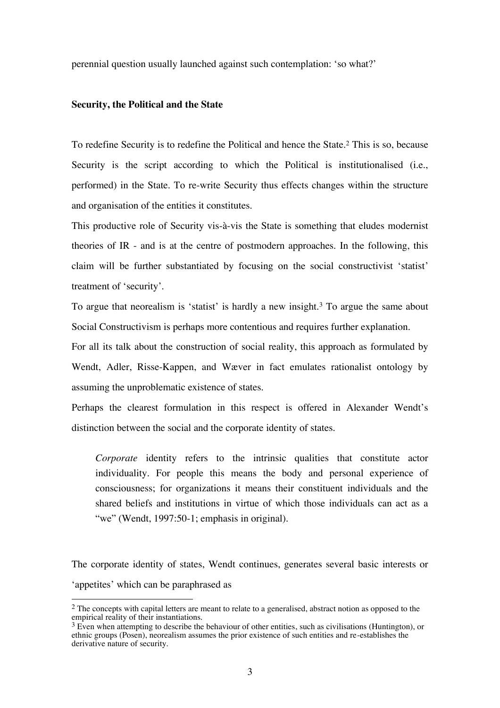perennial question usually launched against such contemplation: 'so what?'

## **Security, the Political and the State**

 $\overline{a}$ 

To redefine Security is to redefine the Political and hence the State.<sup>2</sup> This is so, because Security is the script according to which the Political is institutionalised (i.e., performed) in the State. To re-write Security thus effects changes within the structure and organisation of the entities it constitutes.

This productive role of Security vis-à-vis the State is something that eludes modernist theories of IR - and is at the centre of postmodern approaches. In the following, this claim will be further substantiated by focusing on the social constructivist 'statist' treatment of 'security'.

To argue that neorealism is 'statist' is hardly a new insight.<sup>3</sup> To argue the same about Social Constructivism is perhaps more contentious and requires further explanation.

For all its talk about the construction of social reality, this approach as formulated by Wendt, Adler, Risse-Kappen, and Wæver in fact emulates rationalist ontology by assuming the unproblematic existence of states.

Perhaps the clearest formulation in this respect is offered in Alexander Wendt's distinction between the social and the corporate identity of states.

*Corporate* identity refers to the intrinsic qualities that constitute actor individuality. For people this means the body and personal experience of consciousness; for organizations it means their constituent individuals and the shared beliefs and institutions in virtue of which those individuals can act as a "we" (Wendt, 1997:50-1; emphasis in original).

The corporate identity of states, Wendt continues, generates several basic interests or 'appetites' which can be paraphrased as

<sup>&</sup>lt;sup>2</sup> The concepts with capital letters are meant to relate to a generalised, abstract notion as opposed to the empirical reality of their instantiations.

 $3$  Even when attempting to describe the behaviour of other entities, such as civilisations (Huntington), or ethnic groups (Posen), neorealism assumes the prior existence of such entities and re-establishes the derivative nature of security.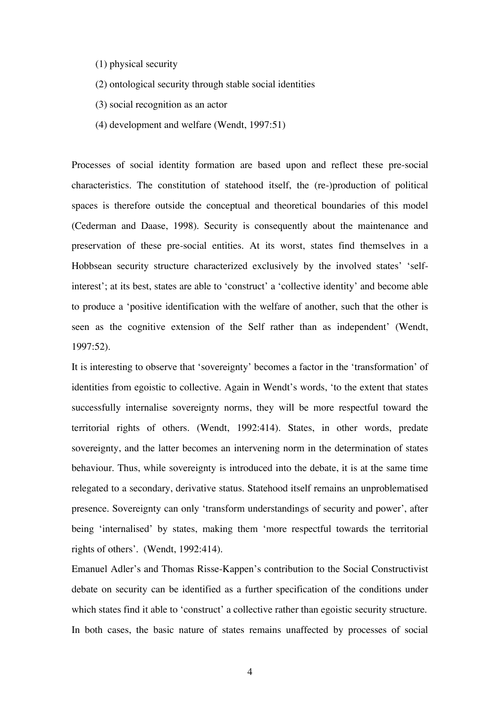- (1) physical security
- (2) ontological security through stable social identities
- (3) social recognition as an actor
- (4) development and welfare (Wendt, 1997:51)

Processes of social identity formation are based upon and reflect these pre-social characteristics. The constitution of statehood itself, the (re-)production of political spaces is therefore outside the conceptual and theoretical boundaries of this model (Cederman and Daase, 1998). Security is consequently about the maintenance and preservation of these pre-social entities. At its worst, states find themselves in a Hobbsean security structure characterized exclusively by the involved states' 'selfinterest'; at its best, states are able to 'construct' a 'collective identity' and become able to produce a 'positive identification with the welfare of another, such that the other is seen as the cognitive extension of the Self rather than as independent' (Wendt, 1997:52).

It is interesting to observe that 'sovereignty' becomes a factor in the 'transformation' of identities from egoistic to collective. Again in Wendt's words, 'to the extent that states successfully internalise sovereignty norms, they will be more respectful toward the territorial rights of others. (Wendt, 1992:414). States, in other words, predate sovereignty, and the latter becomes an intervening norm in the determination of states behaviour. Thus, while sovereignty is introduced into the debate, it is at the same time relegated to a secondary, derivative status. Statehood itself remains an unproblematised presence. Sovereignty can only 'transform understandings of security and power', after being 'internalised' by states, making them 'more respectful towards the territorial rights of others'. (Wendt, 1992:414).

Emanuel Adler's and Thomas Risse-Kappen's contribution to the Social Constructivist debate on security can be identified as a further specification of the conditions under which states find it able to 'construct' a collective rather than egoistic security structure. In both cases, the basic nature of states remains unaffected by processes of social

4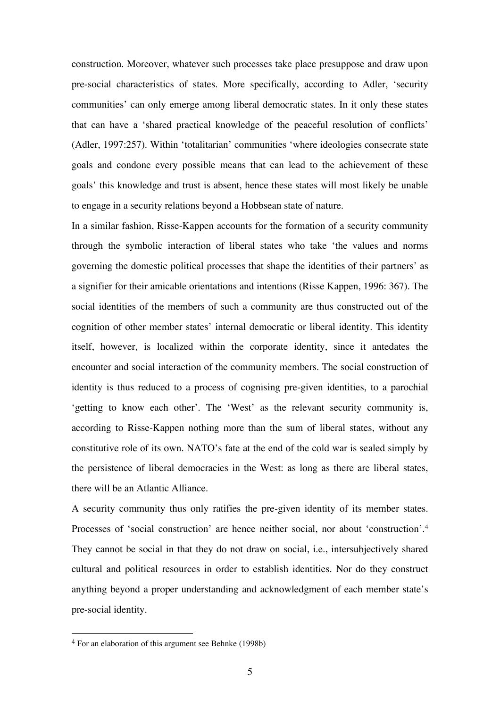construction. Moreover, whatever such processes take place presuppose and draw upon pre-social characteristics of states. More specifically, according to Adler, 'security communities' can only emerge among liberal democratic states. In it only these states that can have a 'shared practical knowledge of the peaceful resolution of conflicts' (Adler, 1997:257). Within 'totalitarian' communities 'where ideologies consecrate state goals and condone every possible means that can lead to the achievement of these goals' this knowledge and trust is absent, hence these states will most likely be unable to engage in a security relations beyond a Hobbsean state of nature.

In a similar fashion, Risse-Kappen accounts for the formation of a security community through the symbolic interaction of liberal states who take 'the values and norms governing the domestic political processes that shape the identities of their partners' as a signifier for their amicable orientations and intentions (Risse Kappen, 1996: 367). The social identities of the members of such a community are thus constructed out of the cognition of other member states' internal democratic or liberal identity. This identity itself, however, is localized within the corporate identity, since it antedates the encounter and social interaction of the community members. The social construction of identity is thus reduced to a process of cognising pre-given identities, to a parochial 'getting to know each other'. The 'West' as the relevant security community is, according to Risse-Kappen nothing more than the sum of liberal states, without any constitutive role of its own. NATO's fate at the end of the cold war is sealed simply by the persistence of liberal democracies in the West: as long as there are liberal states, there will be an Atlantic Alliance.

A security community thus only ratifies the pre-given identity of its member states. Processes of 'social construction' are hence neither social, nor about 'construction'.<sup>4</sup> They cannot be social in that they do not draw on social, i.e., intersubjectively shared cultural and political resources in order to establish identities. Nor do they construct anything beyond a proper understanding and acknowledgment of each member state's pre-social identity.

<sup>4</sup> For an elaboration of this argument see Behnke (1998b)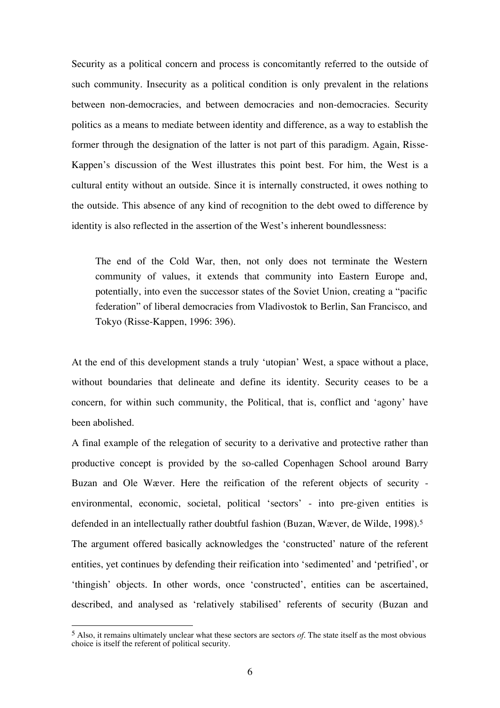Security as a political concern and process is concomitantly referred to the outside of such community. Insecurity as a political condition is only prevalent in the relations between non-democracies, and between democracies and non-democracies. Security politics as a means to mediate between identity and difference, as a way to establish the former through the designation of the latter is not part of this paradigm. Again, Risse-Kappen's discussion of the West illustrates this point best. For him, the West is a cultural entity without an outside. Since it is internally constructed, it owes nothing to the outside. This absence of any kind of recognition to the debt owed to difference by identity is also reflected in the assertion of the West's inherent boundlessness:

The end of the Cold War, then, not only does not terminate the Western community of values, it extends that community into Eastern Europe and, potentially, into even the successor states of the Soviet Union, creating a "pacific federation" of liberal democracies from Vladivostok to Berlin, San Francisco, and Tokyo (Risse-Kappen, 1996: 396).

At the end of this development stands a truly 'utopian' West, a space without a place, without boundaries that delineate and define its identity. Security ceases to be a concern, for within such community, the Political, that is, conflict and 'agony' have been abolished.

A final example of the relegation of security to a derivative and protective rather than productive concept is provided by the so-called Copenhagen School around Barry Buzan and Ole Wæver. Here the reification of the referent objects of security environmental, economic, societal, political 'sectors' - into pre-given entities is defended in an intellectually rather doubtful fashion (Buzan, Wæver, de Wilde, 1998).<sup>5</sup> The argument offered basically acknowledges the 'constructed' nature of the referent entities, yet continues by defending their reification into 'sedimented' and 'petrified', or 'thingish' objects. In other words, once 'constructed', entities can be ascertained, described, and analysed as 'relatively stabilised' referents of security (Buzan and

<sup>5</sup> Also, it remains ultimately unclear what these sectors are sectors *of*. The state itself as the most obvious choice is itself the referent of political security.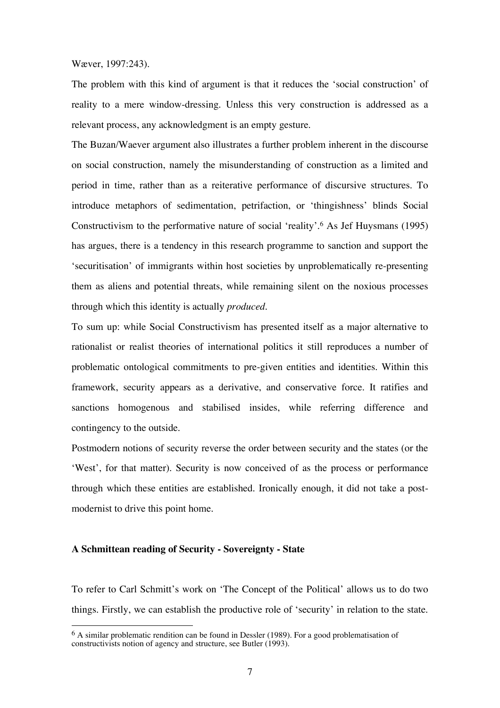Wæver, 1997:243).

The problem with this kind of argument is that it reduces the 'social construction' of reality to a mere window-dressing. Unless this very construction is addressed as a relevant process, any acknowledgment is an empty gesture.

The Buzan/Waever argument also illustrates a further problem inherent in the discourse on social construction, namely the misunderstanding of construction as a limited and period in time, rather than as a reiterative performance of discursive structures. To introduce metaphors of sedimentation, petrifaction, or 'thingishness' blinds Social Constructivism to the performative nature of social 'reality'.<sup>6</sup> As Jef Huysmans (1995) has argues, there is a tendency in this research programme to sanction and support the 'securitisation' of immigrants within host societies by unproblematically re-presenting them as aliens and potential threats, while remaining silent on the noxious processes through which this identity is actually *produced*.

To sum up: while Social Constructivism has presented itself as a major alternative to rationalist or realist theories of international politics it still reproduces a number of problematic ontological commitments to pre-given entities and identities. Within this framework, security appears as a derivative, and conservative force. It ratifies and sanctions homogenous and stabilised insides, while referring difference and contingency to the outside.

Postmodern notions of security reverse the order between security and the states (or the 'West', for that matter). Security is now conceived of as the process or performance through which these entities are established. Ironically enough, it did not take a postmodernist to drive this point home.

## **A Schmittean reading of Security - Sovereignty - State**

 $\overline{a}$ 

To refer to Carl Schmitt's work on 'The Concept of the Political' allows us to do two things. Firstly, we can establish the productive role of 'security' in relation to the state.

<sup>&</sup>lt;sup>6</sup> A similar problematic rendition can be found in Dessler (1989). For a good problematisation of constructivists notion of agency and structure, see Butler (1993).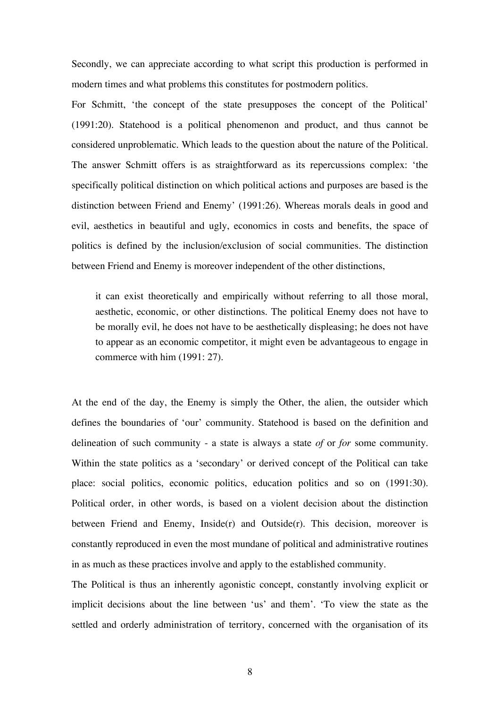Secondly, we can appreciate according to what script this production is performed in modern times and what problems this constitutes for postmodern politics.

For Schmitt, 'the concept of the state presupposes the concept of the Political' (1991:20). Statehood is a political phenomenon and product, and thus cannot be considered unproblematic. Which leads to the question about the nature of the Political. The answer Schmitt offers is as straightforward as its repercussions complex: 'the specifically political distinction on which political actions and purposes are based is the distinction between Friend and Enemy' (1991:26). Whereas morals deals in good and evil, aesthetics in beautiful and ugly, economics in costs and benefits, the space of politics is defined by the inclusion/exclusion of social communities. The distinction between Friend and Enemy is moreover independent of the other distinctions,

it can exist theoretically and empirically without referring to all those moral, aesthetic, economic, or other distinctions. The political Enemy does not have to be morally evil, he does not have to be aesthetically displeasing; he does not have to appear as an economic competitor, it might even be advantageous to engage in commerce with him (1991: 27).

At the end of the day, the Enemy is simply the Other, the alien, the outsider which defines the boundaries of 'our' community. Statehood is based on the definition and delineation of such community - a state is always a state *of* or *for* some community. Within the state politics as a 'secondary' or derived concept of the Political can take place: social politics, economic politics, education politics and so on (1991:30). Political order, in other words, is based on a violent decision about the distinction between Friend and Enemy, Inside $(r)$  and Outside $(r)$ . This decision, moreover is constantly reproduced in even the most mundane of political and administrative routines in as much as these practices involve and apply to the established community.

The Political is thus an inherently agonistic concept, constantly involving explicit or implicit decisions about the line between 'us' and them'. 'To view the state as the settled and orderly administration of territory, concerned with the organisation of its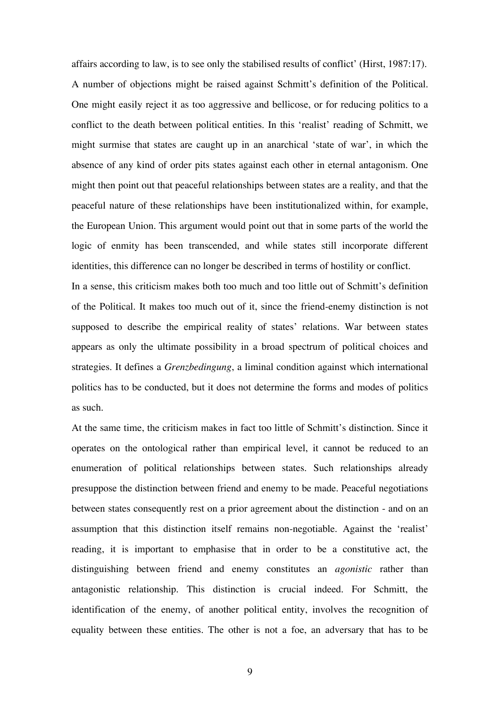affairs according to law, is to see only the stabilised results of conflict' (Hirst, 1987:17). A number of objections might be raised against Schmitt's definition of the Political. One might easily reject it as too aggressive and bellicose, or for reducing politics to a conflict to the death between political entities. In this 'realist' reading of Schmitt, we might surmise that states are caught up in an anarchical 'state of war', in which the absence of any kind of order pits states against each other in eternal antagonism. One might then point out that peaceful relationships between states are a reality, and that the peaceful nature of these relationships have been institutionalized within, for example, the European Union. This argument would point out that in some parts of the world the logic of enmity has been transcended, and while states still incorporate different identities, this difference can no longer be described in terms of hostility or conflict.

In a sense, this criticism makes both too much and too little out of Schmitt's definition of the Political. It makes too much out of it, since the friend-enemy distinction is not supposed to describe the empirical reality of states' relations. War between states appears as only the ultimate possibility in a broad spectrum of political choices and strategies. It defines a *Grenzbedingung*, a liminal condition against which international politics has to be conducted, but it does not determine the forms and modes of politics as such.

At the same time, the criticism makes in fact too little of Schmitt's distinction. Since it operates on the ontological rather than empirical level, it cannot be reduced to an enumeration of political relationships between states. Such relationships already presuppose the distinction between friend and enemy to be made. Peaceful negotiations between states consequently rest on a prior agreement about the distinction - and on an assumption that this distinction itself remains non-negotiable. Against the 'realist' reading, it is important to emphasise that in order to be a constitutive act, the distinguishing between friend and enemy constitutes an *agonistic* rather than antagonistic relationship. This distinction is crucial indeed. For Schmitt, the identification of the enemy, of another political entity, involves the recognition of equality between these entities. The other is not a foe, an adversary that has to be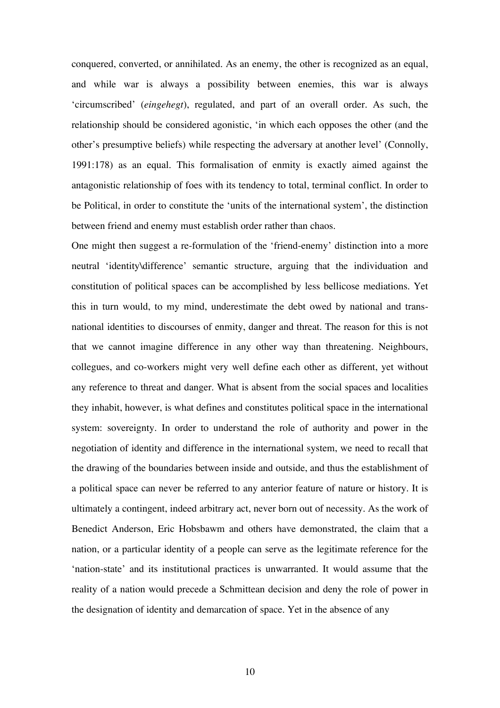conquered, converted, or annihilated. As an enemy, the other is recognized as an equal, and while war is always a possibility between enemies, this war is always 'circumscribed' (*eingehegt*), regulated, and part of an overall order. As such, the relationship should be considered agonistic, 'in which each opposes the other (and the other's presumptive beliefs) while respecting the adversary at another level' (Connolly, 1991:178) as an equal. This formalisation of enmity is exactly aimed against the antagonistic relationship of foes with its tendency to total, terminal conflict. In order to be Political, in order to constitute the 'units of the international system', the distinction between friend and enemy must establish order rather than chaos.

One might then suggest a re-formulation of the 'friend-enemy' distinction into a more neutral 'identity\difference' semantic structure, arguing that the individuation and constitution of political spaces can be accomplished by less bellicose mediations. Yet this in turn would, to my mind, underestimate the debt owed by national and transnational identities to discourses of enmity, danger and threat. The reason for this is not that we cannot imagine difference in any other way than threatening. Neighbours, collegues, and co-workers might very well define each other as different, yet without any reference to threat and danger. What is absent from the social spaces and localities they inhabit, however, is what defines and constitutes political space in the international system: sovereignty. In order to understand the role of authority and power in the negotiation of identity and difference in the international system, we need to recall that the drawing of the boundaries between inside and outside, and thus the establishment of a political space can never be referred to any anterior feature of nature or history. It is ultimately a contingent, indeed arbitrary act, never born out of necessity. As the work of Benedict Anderson, Eric Hobsbawm and others have demonstrated, the claim that a nation, or a particular identity of a people can serve as the legitimate reference for the 'nation-state' and its institutional practices is unwarranted. It would assume that the reality of a nation would precede a Schmittean decision and deny the role of power in the designation of identity and demarcation of space. Yet in the absence of any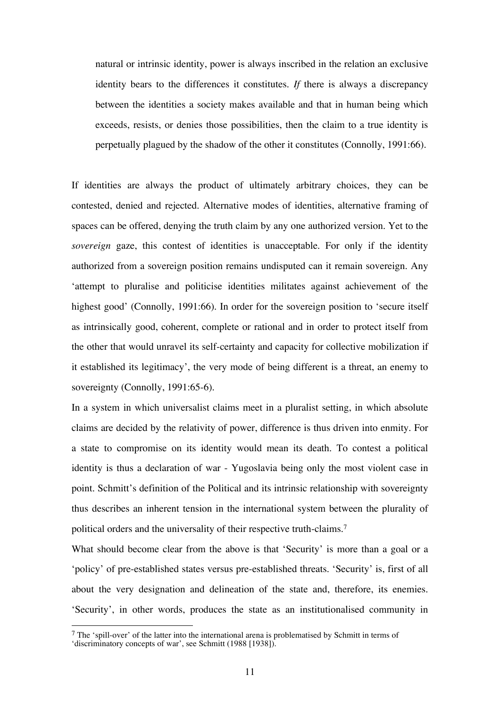natural or intrinsic identity, power is always inscribed in the relation an exclusive identity bears to the differences it constitutes. *If* there is always a discrepancy between the identities a society makes available and that in human being which exceeds, resists, or denies those possibilities, then the claim to a true identity is perpetually plagued by the shadow of the other it constitutes (Connolly, 1991:66).

If identities are always the product of ultimately arbitrary choices, they can be contested, denied and rejected. Alternative modes of identities, alternative framing of spaces can be offered, denying the truth claim by any one authorized version. Yet to the *sovereign* gaze, this contest of identities is unacceptable. For only if the identity authorized from a sovereign position remains undisputed can it remain sovereign. Any 'attempt to pluralise and politicise identities militates against achievement of the highest good' (Connolly, 1991:66). In order for the sovereign position to 'secure itself as intrinsically good, coherent, complete or rational and in order to protect itself from the other that would unravel its self-certainty and capacity for collective mobilization if it established its legitimacy', the very mode of being different is a threat, an enemy to sovereignty (Connolly, 1991:65-6).

In a system in which universalist claims meet in a pluralist setting, in which absolute claims are decided by the relativity of power, difference is thus driven into enmity. For a state to compromise on its identity would mean its death. To contest a political identity is thus a declaration of war - Yugoslavia being only the most violent case in point. Schmitt's definition of the Political and its intrinsic relationship with sovereignty thus describes an inherent tension in the international system between the plurality of political orders and the universality of their respective truth-claims.<sup>7</sup>

What should become clear from the above is that 'Security' is more than a goal or a 'policy' of pre-established states versus pre-established threats. 'Security' is, first of all about the very designation and delineation of the state and, therefore, its enemies. 'Security', in other words, produces the state as an institutionalised community in

 $<sup>7</sup>$  The 'spill-over' of the latter into the international arena is problematised by Schmitt in terms of</sup> 'discriminatory concepts of war', see Schmitt (1988 [1938]).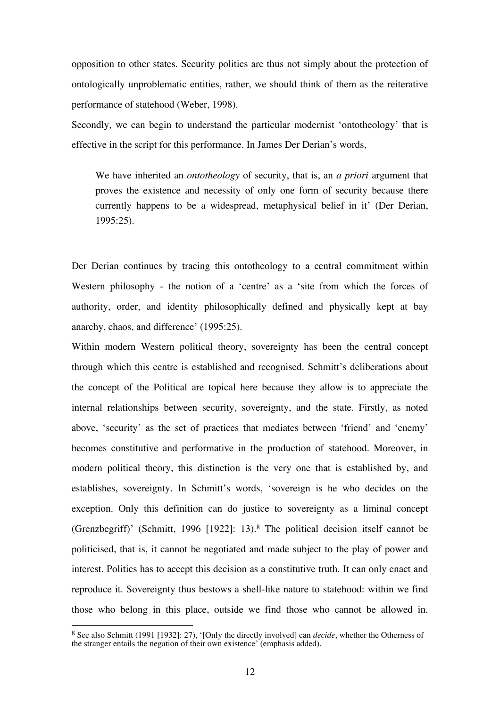opposition to other states. Security politics are thus not simply about the protection of ontologically unproblematic entities, rather, we should think of them as the reiterative performance of statehood (Weber, 1998).

Secondly, we can begin to understand the particular modernist 'ontotheology' that is effective in the script for this performance. In James Der Derian's words,

We have inherited an *ontotheology* of security, that is, an *a priori* argument that proves the existence and necessity of only one form of security because there currently happens to be a widespread, metaphysical belief in it' (Der Derian, 1995:25).

Der Derian continues by tracing this ontotheology to a central commitment within Western philosophy - the notion of a 'centre' as a 'site from which the forces of authority, order, and identity philosophically defined and physically kept at bay anarchy, chaos, and difference' (1995:25).

Within modern Western political theory, sovereignty has been the central concept through which this centre is established and recognised. Schmitt's deliberations about the concept of the Political are topical here because they allow is to appreciate the internal relationships between security, sovereignty, and the state. Firstly, as noted above, 'security' as the set of practices that mediates between 'friend' and 'enemy' becomes constitutive and performative in the production of statehood. Moreover, in modern political theory, this distinction is the very one that is established by, and establishes, sovereignty. In Schmitt's words, 'sovereign is he who decides on the exception. Only this definition can do justice to sovereignty as a liminal concept (Grenzbegriff)' (Schmitt, 1996 [1922]: 13).<sup>8</sup> The political decision itself cannot be politicised, that is, it cannot be negotiated and made subject to the play of power and interest. Politics has to accept this decision as a constitutive truth. It can only enact and reproduce it. Sovereignty thus bestows a shell-like nature to statehood: within we find those who belong in this place, outside we find those who cannot be allowed in.

<sup>8</sup> See also Schmitt (1991 [1932]: 27), '[Only the directly involved] can *decide*, whether the Otherness of the stranger entails the negation of their own existence' (emphasis added).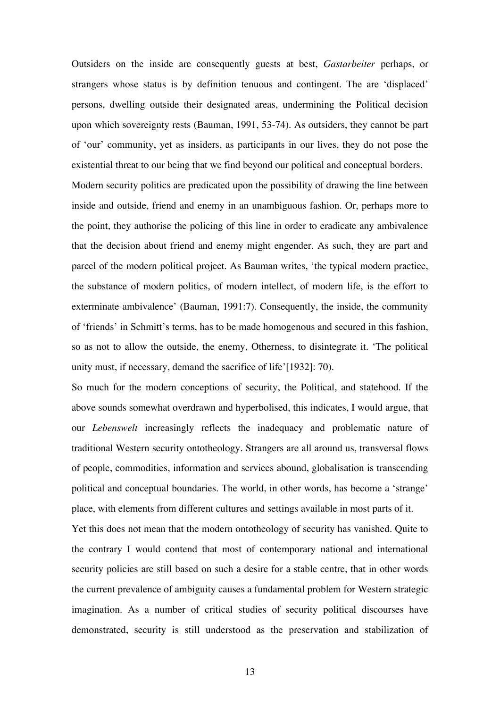Outsiders on the inside are consequently guests at best, *Gastarbeiter* perhaps, or strangers whose status is by definition tenuous and contingent. The are 'displaced' persons, dwelling outside their designated areas, undermining the Political decision upon which sovereignty rests (Bauman, 1991, 53-74). As outsiders, they cannot be part of 'our' community, yet as insiders, as participants in our lives, they do not pose the existential threat to our being that we find beyond our political and conceptual borders. Modern security politics are predicated upon the possibility of drawing the line between inside and outside, friend and enemy in an unambiguous fashion. Or, perhaps more to the point, they authorise the policing of this line in order to eradicate any ambivalence

that the decision about friend and enemy might engender. As such, they are part and parcel of the modern political project. As Bauman writes, 'the typical modern practice, the substance of modern politics, of modern intellect, of modern life, is the effort to exterminate ambivalence' (Bauman, 1991:7). Consequently, the inside, the community of 'friends' in Schmitt's terms, has to be made homogenous and secured in this fashion, so as not to allow the outside, the enemy, Otherness, to disintegrate it. 'The political unity must, if necessary, demand the sacrifice of life'[1932]: 70).

So much for the modern conceptions of security, the Political, and statehood. If the above sounds somewhat overdrawn and hyperbolised, this indicates, I would argue, that our *Lebenswelt* increasingly reflects the inadequacy and problematic nature of traditional Western security ontotheology. Strangers are all around us, transversal flows of people, commodities, information and services abound, globalisation is transcending political and conceptual boundaries. The world, in other words, has become a 'strange' place, with elements from different cultures and settings available in most parts of it.

Yet this does not mean that the modern ontotheology of security has vanished. Quite to the contrary I would contend that most of contemporary national and international security policies are still based on such a desire for a stable centre, that in other words the current prevalence of ambiguity causes a fundamental problem for Western strategic imagination. As a number of critical studies of security political discourses have demonstrated, security is still understood as the preservation and stabilization of

13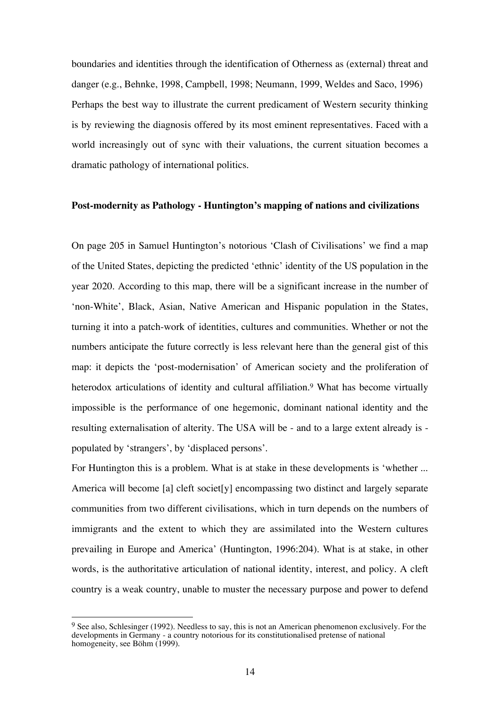boundaries and identities through the identification of Otherness as (external) threat and danger (e.g., Behnke, 1998, Campbell, 1998; Neumann, 1999, Weldes and Saco, 1996) Perhaps the best way to illustrate the current predicament of Western security thinking is by reviewing the diagnosis offered by its most eminent representatives. Faced with a world increasingly out of sync with their valuations, the current situation becomes a dramatic pathology of international politics.

## **Post-modernity as Pathology - Huntington's mapping of nations and civilizations**

On page 205 in Samuel Huntington's notorious 'Clash of Civilisations' we find a map of the United States, depicting the predicted 'ethnic' identity of the US population in the year 2020. According to this map, there will be a significant increase in the number of 'non-White', Black, Asian, Native American and Hispanic population in the States, turning it into a patch-work of identities, cultures and communities. Whether or not the numbers anticipate the future correctly is less relevant here than the general gist of this map: it depicts the 'post-modernisation' of American society and the proliferation of heterodox articulations of identity and cultural affiliation.<sup>9</sup> What has become virtually impossible is the performance of one hegemonic, dominant national identity and the resulting externalisation of alterity. The USA will be - and to a large extent already is populated by 'strangers', by 'displaced persons'.

For Huntington this is a problem. What is at stake in these developments is 'whether ... America will become [a] cleft societ[y] encompassing two distinct and largely separate communities from two different civilisations, which in turn depends on the numbers of immigrants and the extent to which they are assimilated into the Western cultures prevailing in Europe and America' (Huntington, 1996:204). What is at stake, in other words, is the authoritative articulation of national identity, interest, and policy. A cleft country is a weak country, unable to muster the necessary purpose and power to defend

 $9$  See also, Schlesinger (1992). Needless to say, this is not an American phenomenon exclusively. For the developments in Germany - a country notorious for its constitutionalised pretense of national homogeneity, see Böhm (1999).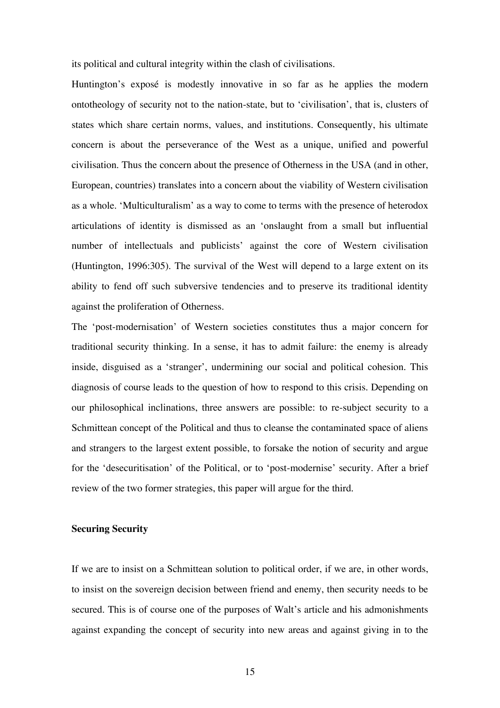its political and cultural integrity within the clash of civilisations.

Huntington's exposé is modestly innovative in so far as he applies the modern ontotheology of security not to the nation-state, but to 'civilisation', that is, clusters of states which share certain norms, values, and institutions. Consequently, his ultimate concern is about the perseverance of the West as a unique, unified and powerful civilisation. Thus the concern about the presence of Otherness in the USA (and in other, European, countries) translates into a concern about the viability of Western civilisation as a whole. 'Multiculturalism' as a way to come to terms with the presence of heterodox articulations of identity is dismissed as an 'onslaught from a small but influential number of intellectuals and publicists' against the core of Western civilisation (Huntington, 1996:305). The survival of the West will depend to a large extent on its ability to fend off such subversive tendencies and to preserve its traditional identity against the proliferation of Otherness.

The 'post-modernisation' of Western societies constitutes thus a major concern for traditional security thinking. In a sense, it has to admit failure: the enemy is already inside, disguised as a 'stranger', undermining our social and political cohesion. This diagnosis of course leads to the question of how to respond to this crisis. Depending on our philosophical inclinations, three answers are possible: to re-subject security to a Schmittean concept of the Political and thus to cleanse the contaminated space of aliens and strangers to the largest extent possible, to forsake the notion of security and argue for the 'desecuritisation' of the Political, or to 'post-modernise' security. After a brief review of the two former strategies, this paper will argue for the third.

#### **Securing Security**

If we are to insist on a Schmittean solution to political order, if we are, in other words, to insist on the sovereign decision between friend and enemy, then security needs to be secured. This is of course one of the purposes of Walt's article and his admonishments against expanding the concept of security into new areas and against giving in to the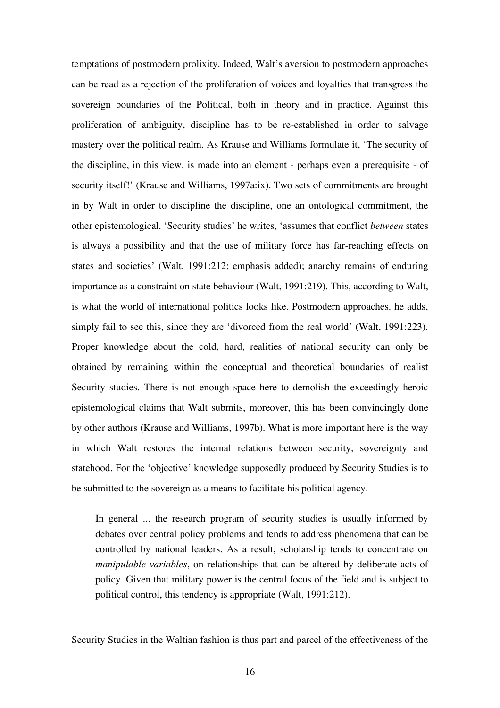temptations of postmodern prolixity. Indeed, Walt's aversion to postmodern approaches can be read as a rejection of the proliferation of voices and loyalties that transgress the sovereign boundaries of the Political, both in theory and in practice. Against this proliferation of ambiguity, discipline has to be re-established in order to salvage mastery over the political realm. As Krause and Williams formulate it, 'The security of the discipline, in this view, is made into an element - perhaps even a prerequisite - of security itself!' (Krause and Williams, 1997a:ix). Two sets of commitments are brought in by Walt in order to discipline the discipline, one an ontological commitment, the other epistemological. 'Security studies' he writes, 'assumes that conflict *between* states is always a possibility and that the use of military force has far-reaching effects on states and societies' (Walt, 1991:212; emphasis added); anarchy remains of enduring importance as a constraint on state behaviour (Walt, 1991:219). This, according to Walt, is what the world of international politics looks like. Postmodern approaches. he adds, simply fail to see this, since they are 'divorced from the real world' (Walt, 1991:223). Proper knowledge about the cold, hard, realities of national security can only be obtained by remaining within the conceptual and theoretical boundaries of realist Security studies. There is not enough space here to demolish the exceedingly heroic epistemological claims that Walt submits, moreover, this has been convincingly done by other authors (Krause and Williams, 1997b). What is more important here is the way in which Walt restores the internal relations between security, sovereignty and statehood. For the 'objective' knowledge supposedly produced by Security Studies is to be submitted to the sovereign as a means to facilitate his political agency.

In general ... the research program of security studies is usually informed by debates over central policy problems and tends to address phenomena that can be controlled by national leaders. As a result, scholarship tends to concentrate on *manipulable variables*, on relationships that can be altered by deliberate acts of policy. Given that military power is the central focus of the field and is subject to political control, this tendency is appropriate (Walt, 1991:212).

Security Studies in the Waltian fashion is thus part and parcel of the effectiveness of the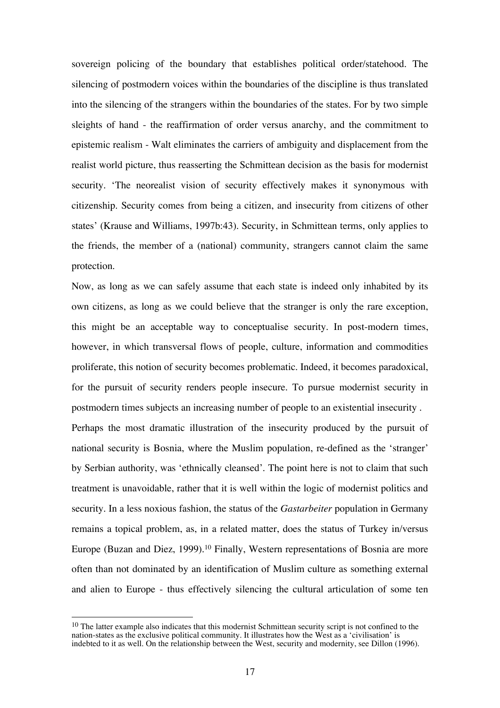sovereign policing of the boundary that establishes political order/statehood. The silencing of postmodern voices within the boundaries of the discipline is thus translated into the silencing of the strangers within the boundaries of the states. For by two simple sleights of hand - the reaffirmation of order versus anarchy, and the commitment to epistemic realism - Walt eliminates the carriers of ambiguity and displacement from the realist world picture, thus reasserting the Schmittean decision as the basis for modernist security. 'The neorealist vision of security effectively makes it synonymous with citizenship. Security comes from being a citizen, and insecurity from citizens of other states' (Krause and Williams, 1997b:43). Security, in Schmittean terms, only applies to the friends, the member of a (national) community, strangers cannot claim the same protection.

Now, as long as we can safely assume that each state is indeed only inhabited by its own citizens, as long as we could believe that the stranger is only the rare exception, this might be an acceptable way to conceptualise security. In post-modern times, however, in which transversal flows of people, culture, information and commodities proliferate, this notion of security becomes problematic. Indeed, it becomes paradoxical, for the pursuit of security renders people insecure. To pursue modernist security in postmodern times subjects an increasing number of people to an existential insecurity . Perhaps the most dramatic illustration of the insecurity produced by the pursuit of national security is Bosnia, where the Muslim population, re-defined as the 'stranger' by Serbian authority, was 'ethnically cleansed'. The point here is not to claim that such treatment is unavoidable, rather that it is well within the logic of modernist politics and security. In a less noxious fashion, the status of the *Gastarbeiter* population in Germany remains a topical problem, as, in a related matter, does the status of Turkey in/versus Europe (Buzan and Diez, 1999).<sup>10</sup> Finally, Western representations of Bosnia are more often than not dominated by an identification of Muslim culture as something external and alien to Europe - thus effectively silencing the cultural articulation of some ten

<sup>&</sup>lt;sup>10</sup> The latter example also indicates that this modernist Schmittean security script is not confined to the nation-states as the exclusive political community. It illustrates how the West as a 'civilisation' is indebted to it as well. On the relationship between the West, security and modernity, see Dillon (1996).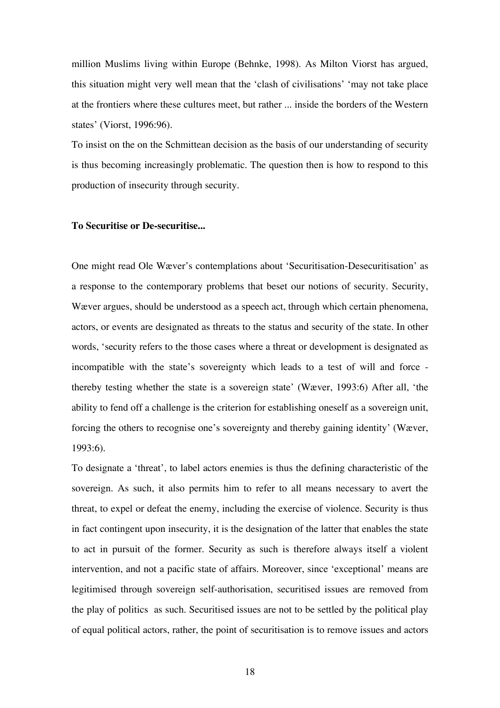million Muslims living within Europe (Behnke, 1998). As Milton Viorst has argued, this situation might very well mean that the 'clash of civilisations' 'may not take place at the frontiers where these cultures meet, but rather ... inside the borders of the Western states' (Viorst, 1996:96).

To insist on the on the Schmittean decision as the basis of our understanding of security is thus becoming increasingly problematic. The question then is how to respond to this production of insecurity through security.

## **To Securitise or De-securitise...**

One might read Ole Wæver's contemplations about 'Securitisation-Desecuritisation' as a response to the contemporary problems that beset our notions of security. Security, Wæver argues, should be understood as a speech act, through which certain phenomena, actors, or events are designated as threats to the status and security of the state. In other words, 'security refers to the those cases where a threat or development is designated as incompatible with the state's sovereignty which leads to a test of will and force thereby testing whether the state is a sovereign state' (Wæver, 1993:6) After all, 'the ability to fend off a challenge is the criterion for establishing oneself as a sovereign unit, forcing the others to recognise one's sovereignty and thereby gaining identity' (Wæver, 1993:6).

To designate a 'threat', to label actors enemies is thus the defining characteristic of the sovereign. As such, it also permits him to refer to all means necessary to avert the threat, to expel or defeat the enemy, including the exercise of violence. Security is thus in fact contingent upon insecurity, it is the designation of the latter that enables the state to act in pursuit of the former. Security as such is therefore always itself a violent intervention, and not a pacific state of affairs. Moreover, since 'exceptional' means are legitimised through sovereign self-authorisation, securitised issues are removed from the play of politics as such. Securitised issues are not to be settled by the political play of equal political actors, rather, the point of securitisation is to remove issues and actors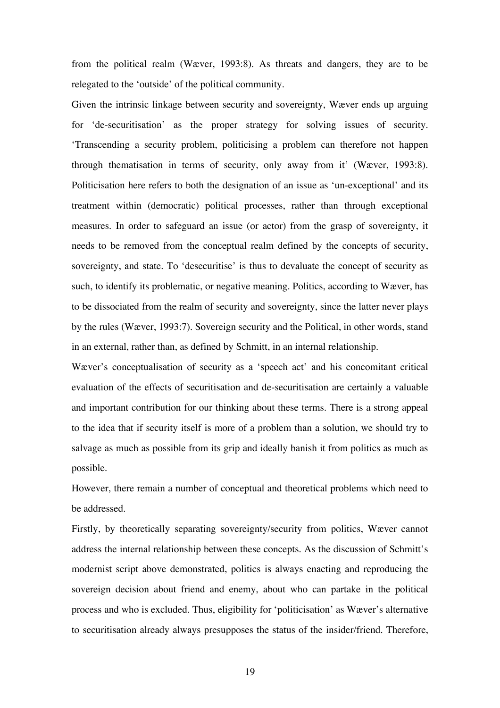from the political realm (Wæver, 1993:8). As threats and dangers, they are to be relegated to the 'outside' of the political community.

Given the intrinsic linkage between security and sovereignty, Wæver ends up arguing for 'de-securitisation' as the proper strategy for solving issues of security. 'Transcending a security problem, politicising a problem can therefore not happen through thematisation in terms of security, only away from it' (Wæver, 1993:8). Politicisation here refers to both the designation of an issue as 'un-exceptional' and its treatment within (democratic) political processes, rather than through exceptional measures. In order to safeguard an issue (or actor) from the grasp of sovereignty, it needs to be removed from the conceptual realm defined by the concepts of security, sovereignty, and state. To 'desecuritise' is thus to devaluate the concept of security as such, to identify its problematic, or negative meaning. Politics, according to Wæver, has to be dissociated from the realm of security and sovereignty, since the latter never plays by the rules (Wæver, 1993:7). Sovereign security and the Political, in other words, stand in an external, rather than, as defined by Schmitt, in an internal relationship.

Wæver's conceptualisation of security as a 'speech act' and his concomitant critical evaluation of the effects of securitisation and de-securitisation are certainly a valuable and important contribution for our thinking about these terms. There is a strong appeal to the idea that if security itself is more of a problem than a solution, we should try to salvage as much as possible from its grip and ideally banish it from politics as much as possible.

However, there remain a number of conceptual and theoretical problems which need to be addressed.

Firstly, by theoretically separating sovereignty/security from politics, Wæver cannot address the internal relationship between these concepts. As the discussion of Schmitt's modernist script above demonstrated, politics is always enacting and reproducing the sovereign decision about friend and enemy, about who can partake in the political process and who is excluded. Thus, eligibility for 'politicisation' as Wæver's alternative to securitisation already always presupposes the status of the insider/friend. Therefore,

19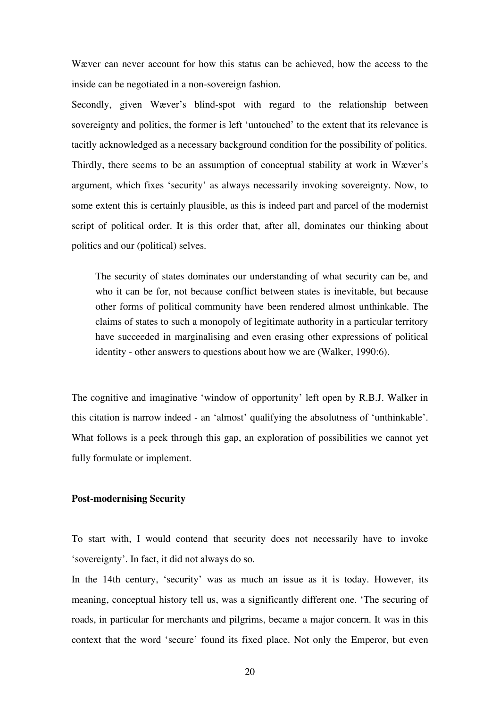Wæver can never account for how this status can be achieved, how the access to the inside can be negotiated in a non-sovereign fashion.

Secondly, given Wæver's blind-spot with regard to the relationship between sovereignty and politics, the former is left 'untouched' to the extent that its relevance is tacitly acknowledged as a necessary background condition for the possibility of politics. Thirdly, there seems to be an assumption of conceptual stability at work in Wæver's argument, which fixes 'security' as always necessarily invoking sovereignty. Now, to some extent this is certainly plausible, as this is indeed part and parcel of the modernist script of political order. It is this order that, after all, dominates our thinking about politics and our (political) selves.

The security of states dominates our understanding of what security can be, and who it can be for, not because conflict between states is inevitable, but because other forms of political community have been rendered almost unthinkable. The claims of states to such a monopoly of legitimate authority in a particular territory have succeeded in marginalising and even erasing other expressions of political identity - other answers to questions about how we are (Walker, 1990:6).

The cognitive and imaginative 'window of opportunity' left open by R.B.J. Walker in this citation is narrow indeed - an 'almost' qualifying the absolutness of 'unthinkable'. What follows is a peek through this gap, an exploration of possibilities we cannot yet fully formulate or implement.

## **Post-modernising Security**

To start with, I would contend that security does not necessarily have to invoke 'sovereignty'. In fact, it did not always do so.

In the 14th century, 'security' was as much an issue as it is today. However, its meaning, conceptual history tell us, was a significantly different one. 'The securing of roads, in particular for merchants and pilgrims, became a major concern. It was in this context that the word 'secure' found its fixed place. Not only the Emperor, but even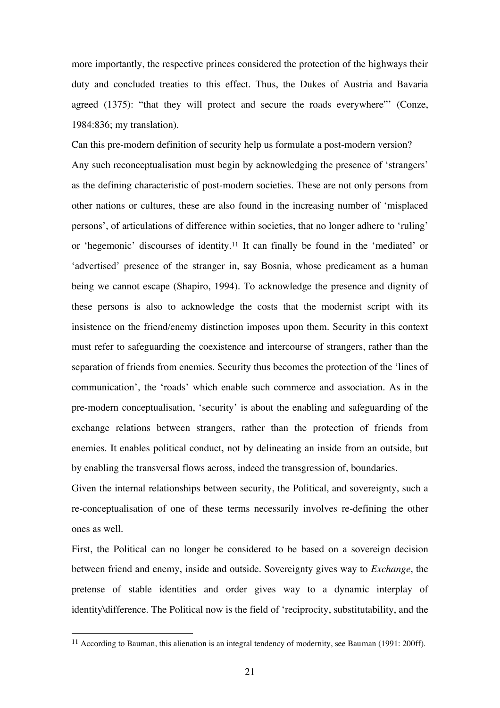more importantly, the respective princes considered the protection of the highways their duty and concluded treaties to this effect. Thus, the Dukes of Austria and Bavaria agreed (1375): "that they will protect and secure the roads everywhere"' (Conze, 1984:836; my translation).

Can this pre-modern definition of security help us formulate a post-modern version? Any such reconceptualisation must begin by acknowledging the presence of 'strangers' as the defining characteristic of post-modern societies. These are not only persons from other nations or cultures, these are also found in the increasing number of 'misplaced persons', of articulations of difference within societies, that no longer adhere to 'ruling' or 'hegemonic' discourses of identity.<sup>11</sup> It can finally be found in the 'mediated' or 'advertised' presence of the stranger in, say Bosnia, whose predicament as a human being we cannot escape (Shapiro, 1994). To acknowledge the presence and dignity of these persons is also to acknowledge the costs that the modernist script with its insistence on the friend/enemy distinction imposes upon them. Security in this context must refer to safeguarding the coexistence and intercourse of strangers, rather than the separation of friends from enemies. Security thus becomes the protection of the 'lines of communication', the 'roads' which enable such commerce and association. As in the pre-modern conceptualisation, 'security' is about the enabling and safeguarding of the exchange relations between strangers, rather than the protection of friends from enemies. It enables political conduct, not by delineating an inside from an outside, but by enabling the transversal flows across, indeed the transgression of, boundaries.

Given the internal relationships between security, the Political, and sovereignty, such a re-conceptualisation of one of these terms necessarily involves re-defining the other ones as well.

First, the Political can no longer be considered to be based on a sovereign decision between friend and enemy, inside and outside. Sovereignty gives way to *Exchange*, the pretense of stable identities and order gives way to a dynamic interplay of identity\difference. The Political now is the field of 'reciprocity, substitutability, and the

<sup>&</sup>lt;sup>11</sup> According to Bauman, this alienation is an integral tendency of modernity, see Bauman (1991: 200ff).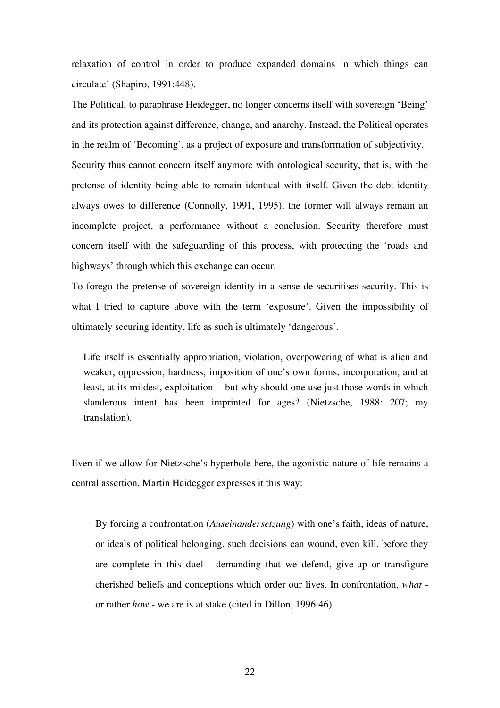relaxation of control in order to produce expanded domains in which things can circulate' (Shapiro, 1991:448).

The Political, to paraphrase Heidegger, no longer concerns itself with sovereign 'Being' and its protection against difference, change, and anarchy. Instead, the Political operates in the realm of 'Becoming', as a project of exposure and transformation of subjectivity. Security thus cannot concern itself anymore with ontological security, that is, with the pretense of identity being able to remain identical with itself. Given the debt identity always owes to difference (Connolly, 1991, 1995), the former will always remain an incomplete project, a performance without a conclusion. Security therefore must concern itself with the safeguarding of this process, with protecting the 'roads and highways' through which this exchange can occur.

To forego the pretense of sovereign identity in a sense de-securitises security. This is what I tried to capture above with the term 'exposure'. Given the impossibility of ultimately securing identity, life as such is ultimately 'dangerous'.

Life itself is essentially appropriation, violation, overpowering of what is alien and weaker, oppression, hardness, imposition of one's own forms, incorporation, and at least, at its mildest, exploitation - but why should one use just those words in which slanderous intent has been imprinted for ages? (Nietzsche, 1988: 207; my translation).

Even if we allow for Nietzsche's hyperbole here, the agonistic nature of life remains a central assertion. Martin Heidegger expresses it this way:

By forcing a confrontation (*Auseinandersetzung*) with one's faith, ideas of nature, or ideals of political belonging, such decisions can wound, even kill, before they are complete in this duel - demanding that we defend, give-up or transfigure cherished beliefs and conceptions which order our lives. In confrontation, *what* or rather *how* - we are is at stake (cited in Dillon, 1996:46)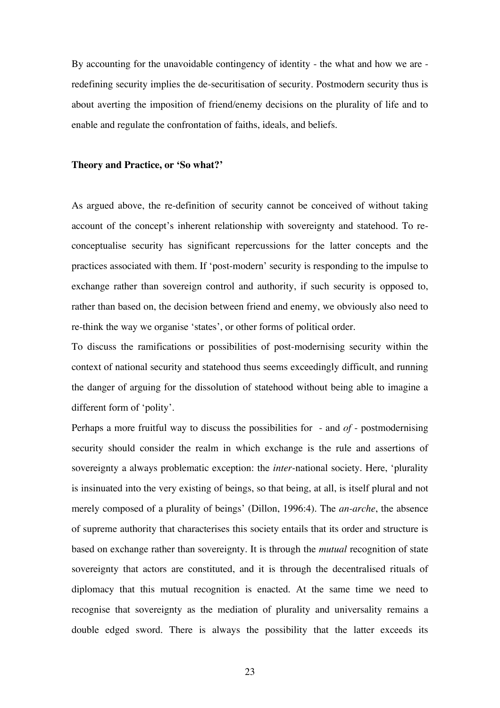By accounting for the unavoidable contingency of identity - the what and how we are redefining security implies the de-securitisation of security. Postmodern security thus is about averting the imposition of friend/enemy decisions on the plurality of life and to enable and regulate the confrontation of faiths, ideals, and beliefs.

#### **Theory and Practice, or 'So what?'**

As argued above, the re-definition of security cannot be conceived of without taking account of the concept's inherent relationship with sovereignty and statehood. To reconceptualise security has significant repercussions for the latter concepts and the practices associated with them. If 'post-modern' security is responding to the impulse to exchange rather than sovereign control and authority, if such security is opposed to, rather than based on, the decision between friend and enemy, we obviously also need to re-think the way we organise 'states', or other forms of political order.

To discuss the ramifications or possibilities of post-modernising security within the context of national security and statehood thus seems exceedingly difficult, and running the danger of arguing for the dissolution of statehood without being able to imagine a different form of 'polity'.

Perhaps a more fruitful way to discuss the possibilities for - and *of* - postmodernising security should consider the realm in which exchange is the rule and assertions of sovereignty a always problematic exception: the *inter*-national society. Here, 'plurality is insinuated into the very existing of beings, so that being, at all, is itself plural and not merely composed of a plurality of beings' (Dillon, 1996:4). The *an-arche*, the absence of supreme authority that characterises this society entails that its order and structure is based on exchange rather than sovereignty. It is through the *mutual* recognition of state sovereignty that actors are constituted, and it is through the decentralised rituals of diplomacy that this mutual recognition is enacted. At the same time we need to recognise that sovereignty as the mediation of plurality and universality remains a double edged sword. There is always the possibility that the latter exceeds its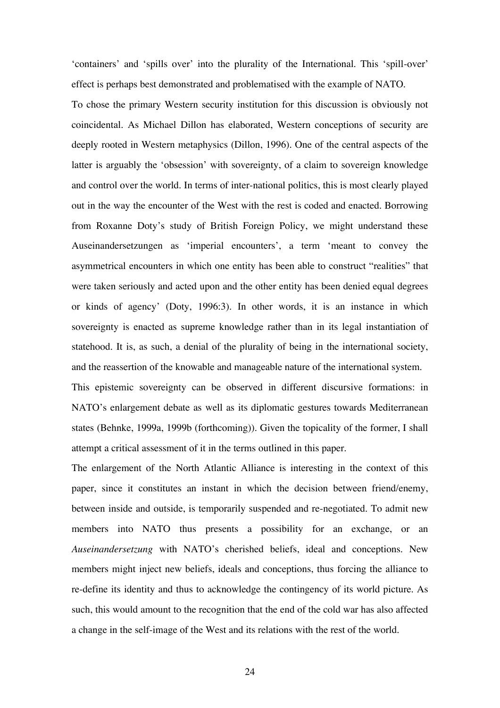'containers' and 'spills over' into the plurality of the International. This 'spill-over' effect is perhaps best demonstrated and problematised with the example of NATO.

To chose the primary Western security institution for this discussion is obviously not coincidental. As Michael Dillon has elaborated, Western conceptions of security are deeply rooted in Western metaphysics (Dillon, 1996). One of the central aspects of the latter is arguably the 'obsession' with sovereignty, of a claim to sovereign knowledge and control over the world. In terms of inter-national politics, this is most clearly played out in the way the encounter of the West with the rest is coded and enacted. Borrowing from Roxanne Doty's study of British Foreign Policy, we might understand these Auseinandersetzungen as 'imperial encounters', a term 'meant to convey the asymmetrical encounters in which one entity has been able to construct "realities" that were taken seriously and acted upon and the other entity has been denied equal degrees or kinds of agency' (Doty, 1996:3). In other words, it is an instance in which sovereignty is enacted as supreme knowledge rather than in its legal instantiation of statehood. It is, as such, a denial of the plurality of being in the international society, and the reassertion of the knowable and manageable nature of the international system.

This epistemic sovereignty can be observed in different discursive formations: in NATO's enlargement debate as well as its diplomatic gestures towards Mediterranean states (Behnke, 1999a, 1999b (forthcoming)). Given the topicality of the former, I shall attempt a critical assessment of it in the terms outlined in this paper.

The enlargement of the North Atlantic Alliance is interesting in the context of this paper, since it constitutes an instant in which the decision between friend/enemy, between inside and outside, is temporarily suspended and re-negotiated. To admit new members into NATO thus presents a possibility for an exchange, or an *Auseinandersetzung* with NATO's cherished beliefs, ideal and conceptions. New members might inject new beliefs, ideals and conceptions, thus forcing the alliance to re-define its identity and thus to acknowledge the contingency of its world picture. As such, this would amount to the recognition that the end of the cold war has also affected a change in the self-image of the West and its relations with the rest of the world.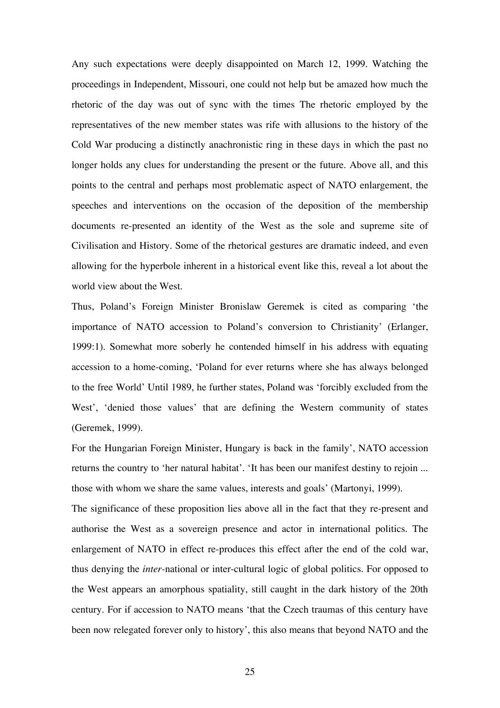Any such expectations were deeply disappointed on March 12, 1999. Watching the proceedings in Independent, Missouri, one could not help but be amazed how much the rhetoric of the day was out of sync with the times The rhetoric employed by the representatives of the new member states was rife with allusions to the history of the Cold War producing a distinctly anachronistic ring in these days in which the past no longer holds any clues for understanding the present or the future. Above all, and this points to the central and perhaps most problematic aspect of NATO enlargement, the speeches and interventions on the occasion of the deposition of the membership documents re-presented an identity of the West as the sole and supreme site of Civilisation and History. Some of the rhetorical gestures are dramatic indeed, and even allowing for the hyperbole inherent in a historical event like this, reveal a lot about the world view about the West.

Thus, Poland's Foreign Minister Bronislaw Geremek is cited as comparing 'the importance of NATO accession to Poland's conversion to Christianity' (Erlanger, 1999:1). Somewhat more soberly he contended himself in his address with equating accession to a home-coming, 'Poland for ever returns where she has always belonged to the free World' Until 1989, he further states, Poland was 'forcibly excluded from the West', 'denied those values' that are defining the Western community of states (Geremek, 1999).

For the Hungarian Foreign Minister, Hungary is back in the family', NATO accession returns the country to 'her natural habitat'. 'It has been our manifest destiny to rejoin ... those with whom we share the same values, interests and goals' (Martonyi, 1999).

The significance of these proposition lies above all in the fact that they re-present and authorise the West as a sovereign presence and actor in international politics. The enlargement of NATO in effect re-produces this effect after the end of the cold war, thus denying the *inter-*national or inter-cultural logic of global politics. For opposed to the West appears an amorphous spatiality, still caught in the dark history of the 20th century. For if accession to NATO means 'that the Czech traumas of this century have been now relegated forever only to history', this also means that beyond NATO and the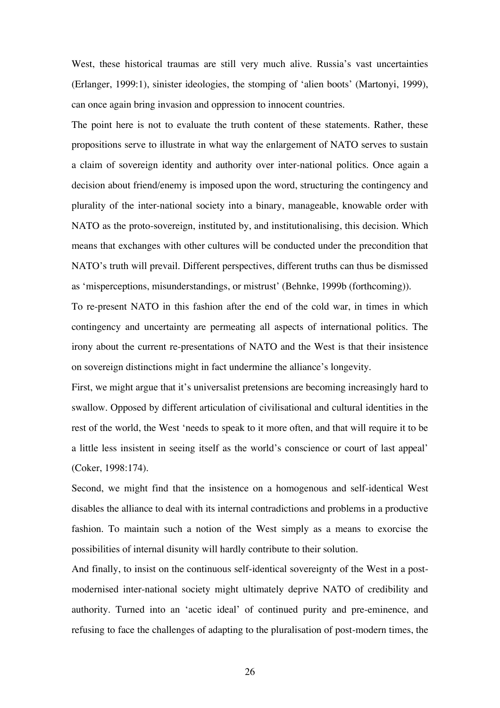West, these historical traumas are still very much alive. Russia's vast uncertainties (Erlanger, 1999:1), sinister ideologies, the stomping of 'alien boots' (Martonyi, 1999), can once again bring invasion and oppression to innocent countries.

The point here is not to evaluate the truth content of these statements. Rather, these propositions serve to illustrate in what way the enlargement of NATO serves to sustain a claim of sovereign identity and authority over inter-national politics. Once again a decision about friend/enemy is imposed upon the word, structuring the contingency and plurality of the inter-national society into a binary, manageable, knowable order with NATO as the proto-sovereign, instituted by, and institutionalising, this decision. Which means that exchanges with other cultures will be conducted under the precondition that NATO's truth will prevail. Different perspectives, different truths can thus be dismissed as 'misperceptions, misunderstandings, or mistrust' (Behnke, 1999b (forthcoming)).

To re-present NATO in this fashion after the end of the cold war, in times in which contingency and uncertainty are permeating all aspects of international politics. The irony about the current re-presentations of NATO and the West is that their insistence on sovereign distinctions might in fact undermine the alliance's longevity.

First, we might argue that it's universalist pretensions are becoming increasingly hard to swallow. Opposed by different articulation of civilisational and cultural identities in the rest of the world, the West 'needs to speak to it more often, and that will require it to be a little less insistent in seeing itself as the world's conscience or court of last appeal' (Coker, 1998:174).

Second, we might find that the insistence on a homogenous and self-identical West disables the alliance to deal with its internal contradictions and problems in a productive fashion. To maintain such a notion of the West simply as a means to exorcise the possibilities of internal disunity will hardly contribute to their solution.

And finally, to insist on the continuous self-identical sovereignty of the West in a postmodernised inter-national society might ultimately deprive NATO of credibility and authority. Turned into an 'acetic ideal' of continued purity and pre-eminence, and refusing to face the challenges of adapting to the pluralisation of post-modern times, the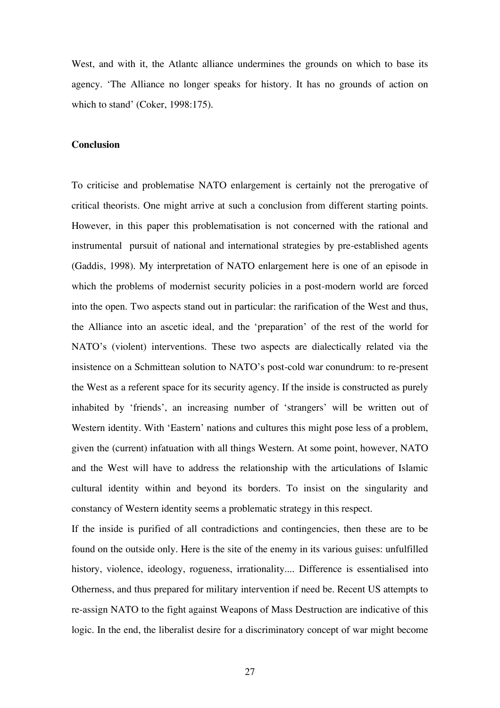West, and with it, the Atlantc alliance undermines the grounds on which to base its agency. 'The Alliance no longer speaks for history. It has no grounds of action on which to stand' (Coker, 1998:175).

## **Conclusion**

To criticise and problematise NATO enlargement is certainly not the prerogative of critical theorists. One might arrive at such a conclusion from different starting points. However, in this paper this problematisation is not concerned with the rational and instrumental pursuit of national and international strategies by pre-established agents (Gaddis, 1998). My interpretation of NATO enlargement here is one of an episode in which the problems of modernist security policies in a post-modern world are forced into the open. Two aspects stand out in particular: the rarification of the West and thus, the Alliance into an ascetic ideal, and the 'preparation' of the rest of the world for NATO's (violent) interventions. These two aspects are dialectically related via the insistence on a Schmittean solution to NATO's post-cold war conundrum: to re-present the West as a referent space for its security agency. If the inside is constructed as purely inhabited by 'friends', an increasing number of 'strangers' will be written out of Western identity. With 'Eastern' nations and cultures this might pose less of a problem, given the (current) infatuation with all things Western. At some point, however, NATO and the West will have to address the relationship with the articulations of Islamic cultural identity within and beyond its borders. To insist on the singularity and constancy of Western identity seems a problematic strategy in this respect.

If the inside is purified of all contradictions and contingencies, then these are to be found on the outside only. Here is the site of the enemy in its various guises: unfulfilled history, violence, ideology, rogueness, irrationality.... Difference is essentialised into Otherness, and thus prepared for military intervention if need be. Recent US attempts to re-assign NATO to the fight against Weapons of Mass Destruction are indicative of this logic. In the end, the liberalist desire for a discriminatory concept of war might become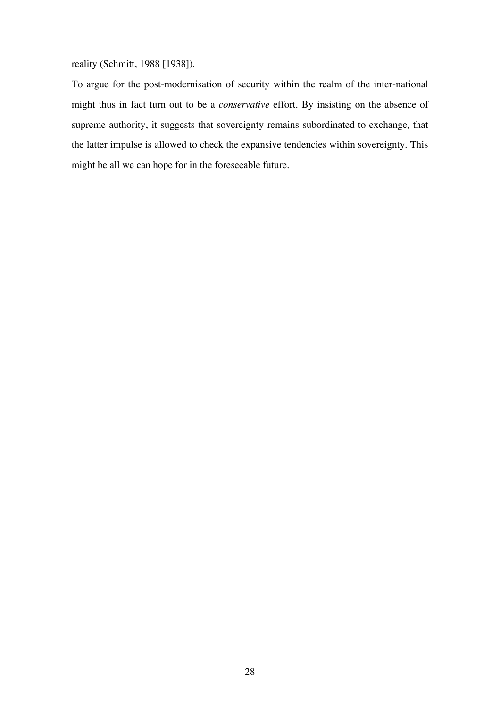reality (Schmitt, 1988 [1938]).

To argue for the post-modernisation of security within the realm of the inter-national might thus in fact turn out to be a *conservative* effort. By insisting on the absence of supreme authority, it suggests that sovereignty remains subordinated to exchange, that the latter impulse is allowed to check the expansive tendencies within sovereignty. This might be all we can hope for in the foreseeable future.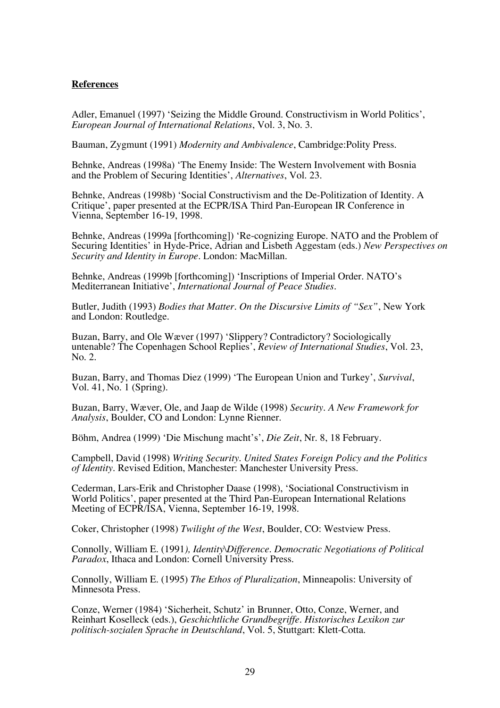## **References**

Adler, Emanuel (1997) 'Seizing the Middle Ground. Constructivism in World Politics', *European Journal of International Relations*, Vol. 3, No. 3.

Bauman, Zygmunt (1991) *Modernity and Ambivalence*, Cambridge:Polity Press.

Behnke, Andreas (1998a) 'The Enemy Inside: The Western Involvement with Bosnia and the Problem of Securing Identities', *Alternatives*, Vol. 23.

Behnke, Andreas (1998b) 'Social Constructivism and the De-Politization of Identity. A Critique', paper presented at the ECPR/ISA Third Pan-European IR Conference in Vienna, September 16-19, 1998.

Behnke, Andreas (1999a [forthcoming]) 'Re-cognizing Europe. NATO and the Problem of Securing Identities' in Hyde-Price, Adrian and Lisbeth Aggestam (eds.) *New Perspectives on Security and Identity in Europe*. London: MacMillan.

Behnke, Andreas (1999b [forthcoming]) 'Inscriptions of Imperial Order. NATO's Mediterranean Initiative', *International Journal of Peace Studies*.

Butler, Judith (1993) *Bodies that Matter. On the Discursive Limits of "Sex"*, New York and London: Routledge.

Buzan, Barry, and Ole Wæver (1997) 'Slippery? Contradictory? Sociologically untenable? The Copenhagen School Replies', *Review of International Studies*, Vol. 23, No. 2.

Buzan, Barry, and Thomas Diez (1999) 'The European Union and Turkey', *Survival*, Vol. 41, No. 1 (Spring).

Buzan, Barry, Wæver, Ole, and Jaap de Wilde (1998) *Security. A New Framework for Analysis*, Boulder, CO and London: Lynne Rienner.

Böhm, Andrea (1999) 'Die Mischung macht's', *Die Zeit*, Nr. 8, 18 February.

Campbell, David (1998) *Writing Security. United States Foreign Policy and the Politics of Identity*. Revised Edition, Manchester: Manchester University Press.

Cederman, Lars-Erik and Christopher Daase (1998), 'Sociational Constructivism in World Politics', paper presented at the Third Pan-European International Relations Meeting of ECPR/ISA, Vienna, September 16-19, 1998.

Coker, Christopher (1998) *Twilight of the West*, Boulder, CO: Westview Press.

Connolly, William E. (1991*), Identity\Difference. Democratic Negotiations of Political Paradox*, Ithaca and London: Cornell University Press.

Connolly, William E. (1995) *The Ethos of Pluralization*, Minneapolis: University of Minnesota Press.

Conze, Werner (1984) 'Sicherheit, Schutz' in Brunner, Otto, Conze, Werner, and Reinhart Koselleck (eds.), *Geschichtliche Grundbegriffe. Historisches Lexikon zur politisch-sozialen Sprache in Deutschland*, Vol. 5, Stuttgart: Klett-Cotta.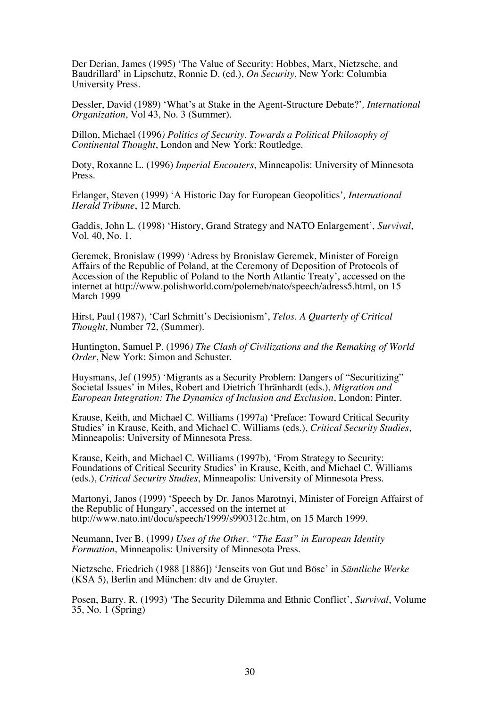Der Derian, James (1995) 'The Value of Security: Hobbes, Marx, Nietzsche, and Baudrillard' in Lipschutz, Ronnie D. (ed.), *On Security*, New York: Columbia University Press.

Dessler, David (1989) 'What's at Stake in the Agent-Structure Debate?'*, International Organization*, Vol 43, No. 3 (Summer).

Dillon, Michael (1996*) Politics of Security. Towards a Political Philosophy of Continental Thought*, London and New York: Routledge.

Doty, Roxanne L. (1996) *Imperial Encouters*, Minneapolis: University of Minnesota Press.

Erlanger, Steven (1999) 'A Historic Day for European Geopolitics'*, International Herald Tribune*, 12 March.

Gaddis, John L. (1998) 'History, Grand Strategy and NATO Enlargement', *Survival*, Vol. 40, No. 1.

Geremek, Bronislaw (1999) 'Adress by Bronislaw Geremek, Minister of Foreign Affairs of the Republic of Poland, at the Ceremony of Deposition of Protocols of Accession of the Republic of Poland to the North Atlantic Treaty', accessed on the internet at http://www.polishworld.com/polemeb/nato/speech/adress5.html, on 15 March 1999

Hirst, Paul (1987), 'Carl Schmitt's Decisionism', *Telos. A Quarterly of Critical Thought*, Number 72, (Summer).

Huntington, Samuel P. (1996*) The Clash of Civilizations and the Remaking of World Order*, New York: Simon and Schuster.

Huysmans, Jef (1995) 'Migrants as a Security Problem: Dangers of "Securitizing" Societal Issues' in Miles, Robert and Dietrich Thränhardt (eds.), *Migration and European Integration: The Dynamics of Inclusion and Exclusion*, London: Pinter.

Krause, Keith, and Michael C. Williams (1997a) 'Preface: Toward Critical Security Studies' in Krause, Keith, and Michael C. Williams (eds.), *Critical Security Studies*, Minneapolis: University of Minnesota Press.

Krause, Keith, and Michael C. Williams (1997b), 'From Strategy to Security: Foundations of Critical Security Studies' in Krause, Keith, and Michael C. Williams (eds.), *Critical Security Studies*, Minneapolis: University of Minnesota Press.

Martonyi, Janos (1999) 'Speech by Dr. Janos Marotnyi, Minister of Foreign Affairst of the Republic of Hungary', accessed on the internet at http://www.nato.int/docu/speech/1999/s990312c.htm, on 15 March 1999.

Neumann, Iver B. (1999*) Uses of the Other. "The East" in European Identity Formation*, Minneapolis: University of Minnesota Press.

Nietzsche, Friedrich (1988 [1886]) 'Jenseits von Gut und Böse' in *Sämtliche Werke* (KSA 5), Berlin and München: dtv and de Gruyter.

Posen, Barry. R. (1993) 'The Security Dilemma and Ethnic Conflict', *Survival*, Volume 35, No. 1 (Spring)